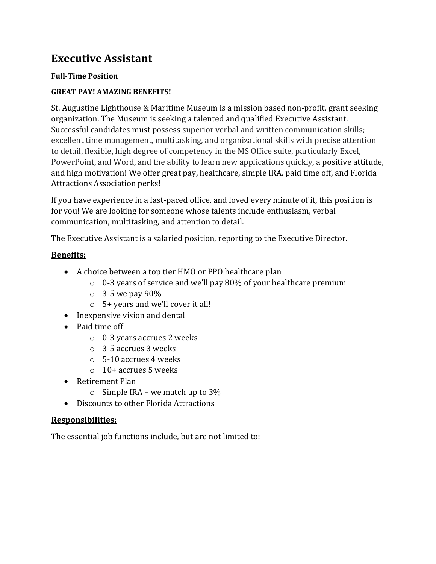# **Executive Assistant**

#### **Full-Time Position**

## **GREAT PAY! AMAZING BENEFITS!**

St. Augustine Lighthouse & Maritime Museum is a mission based non-profit, grant seeking organization. The Museum is seeking a talented and qualified Executive Assistant. Successful candidates must possess superior verbal and written communication skills; excellent time management, multitasking, and organizational skills with precise attention to detail, flexible, high degree of competency in the MS Office suite, particularly Excel, PowerPoint, and Word, and the ability to learn new applications quickly, a positive attitude, and high motivation! We offer great pay, healthcare, simple IRA, paid time off, and Florida Attractions Association perks!

If you have experience in a fast-paced office, and loved every minute of it, this position is for you! We are looking for someone whose talents include enthusiasm, verbal communication, multitasking, and attention to detail.

The Executive Assistant is a salaried position, reporting to the Executive Director.

## **Benefits:**

- A choice between a top tier HMO or PPO healthcare plan
	- $\circ$  0-3 years of service and we'll pay 80% of your healthcare premium
	- $\circ$  3-5 we pay 90%
	- o 5+ years and we'll cover it all!
- Inexpensive vision and dental
- Paid time off
	- o 0-3 years accrues 2 weeks
	- o 3-5 accrues 3 weeks
	- o 5-10 accrues 4 weeks
	- o 10+ accrues 5 weeks
- Retirement Plan
	- $\circ$  Simple IRA we match up to 3%
- Discounts to other Florida Attractions

#### **Responsibilities:**

The essential job functions include, but are not limited to: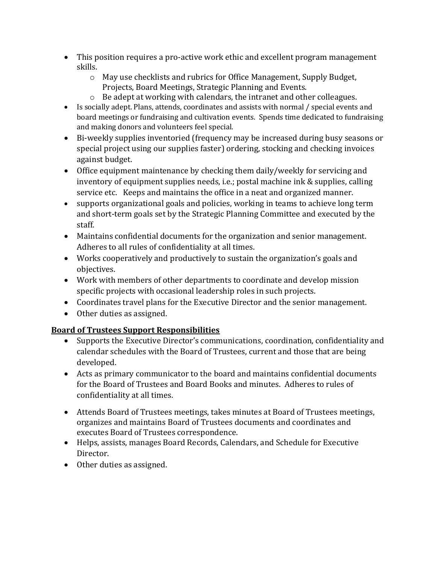- This position requires a pro-active work ethic and excellent program management skills.
	- $\circ$  May use checklists and rubrics for Office Management, Supply Budget, Projects, Board Meetings, Strategic Planning and Events.
	- o Be adept at working with calendars, the intranet and other colleagues.
- Is socially adept. Plans, attends, coordinates and assists with normal / special events and board meetings or fundraising and cultivation events. Spends time dedicated to fundraising and making donors and volunteers feel special.
- Bi-weekly supplies inventoried (frequency may be increased during busy seasons or special project using our supplies faster) ordering, stocking and checking invoices against budget.
- Office equipment maintenance by checking them daily/weekly for servicing and inventory of equipment supplies needs, i.e.; postal machine ink & supplies, calling service etc. Keeps and maintains the office in a neat and organized manner.
- supports organizational goals and policies, working in teams to achieve long term and short-term goals set by the Strategic Planning Committee and executed by the staff.
- Maintains confidential documents for the organization and senior management. Adheres to all rules of confidentiality at all times.
- Works cooperatively and productively to sustain the organization's goals and objectives.
- Work with members of other departments to coordinate and develop mission specific projects with occasional leadership roles in such projects.
- Coordinates travel plans for the Executive Director and the senior management.
- Other duties as assigned.

# **Board of Trustees Support Responsibilities**

- Supports the Executive Director's communications, coordination, confidentiality and calendar schedules with the Board of Trustees, current and those that are being developed.
- Acts as primary communicator to the board and maintains confidential documents for the Board of Trustees and Board Books and minutes. Adheres to rules of confidentiality at all times.
- Attends Board of Trustees meetings, takes minutes at Board of Trustees meetings, organizes and maintains Board of Trustees documents and coordinates and executes Board of Trustees correspondence.
- Helps, assists, manages Board Records, Calendars, and Schedule for Executive Director.
- Other duties as assigned.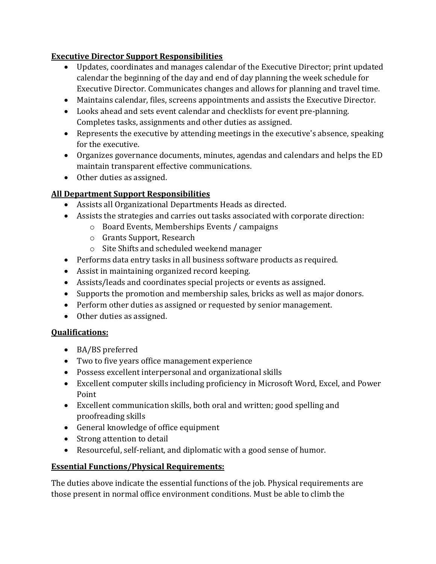## **Executive Director Support Responsibilities**

- Updates, coordinates and manages calendar of the Executive Director; print updated calendar the beginning of the day and end of day planning the week schedule for Executive Director. Communicates changes and allows for planning and travel time.
- Maintains calendar, files, screens appointments and assists the Executive Director.
- Looks ahead and sets event calendar and checklists for event pre-planning. Completes tasks, assignments and other duties as assigned.
- Represents the executive by attending meetings in the executive's absence, speaking for the executive.
- Organizes governance documents, minutes, agendas and calendars and helps the ED maintain transparent effective communications.
- Other duties as assigned.

# **All Department Support Responsibilities**

- Assists all Organizational Departments Heads as directed.
- Assists the strategies and carries out tasks associated with corporate direction:
	- o Board Events, Memberships Events / campaigns
	- o Grants Support, Research
	- o Site Shifts and scheduled weekend manager
- Performs data entry tasks in all business software products as required.
- Assist in maintaining organized record keeping.
- Assists/leads and coordinates special projects or events as assigned.
- Supports the promotion and membership sales, bricks as well as major donors.
- Perform other duties as assigned or requested by senior management.
- Other duties as assigned.

# **Qualifications:**

- BA/BS preferred
- Two to five years office management experience
- Possess excellent interpersonal and organizational skills
- Excellent computer skills including proficiency in Microsoft Word, Excel, and Power Point
- Excellent communication skills, both oral and written; good spelling and proofreading skills
- General knowledge of office equipment
- Strong attention to detail
- Resourceful, self-reliant, and diplomatic with a good sense of humor.

# **Essential Functions/Physical Requirements:**

The duties above indicate the essential functions of the job. Physical requirements are those present in normal office environment conditions. Must be able to climb the